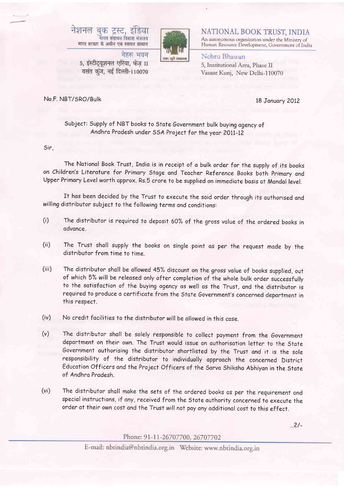



NATIONAL BOOK TRUST, INDIA An autonomous organization under the Ministry of Human Resource Development, Government of India

## नेहरू भवन 5, इंस्टीट्युशनल एरिया. फेज II वसंत कुंज, नई दिल्ली-110070

Nehru Bhawan 5, Institutional Area, Phase II

Vasant Kunj, New Delhi-110070

No.F. NBT/SRO/Bulk

18 January 2012

## Subject: Supply of NBT books to State Government bulk buying agency of Andhra Pradesh under SSA Project for the year 2011-12

Sir,

The National Book Trust, India is in receipt of a bulk order for the supply of its books on Children's Literature for Primary Stage and Teacher Reference Books both Primary and Upper Primary Level worth approx. Rs.5 crore to be supplied on immediate basis at Mandal level.

It has been decided by the Trust to execute the said order through its authorised and willing distributor subject to the following terms and conditions:

- The distributor is required to deposit 60% of the gross value of the ordered books in  $(i)$ advance.
- The Trust shall supply the books on single point as per the request made by the  $(ii)$ distributor from time to time
- $(iii)$ The distributor shall be allowed 45% discount on the gross value of books supplied, out of which 5% will be released only after completion of the whole bulk order successfully to the satisfaction of the buying agency as well as the Trust, and the distributor is required to produce a certificate from the State Government's concerned department in this respect.
- No credit facilities to the distributor will be allowed in this case.  $(iv)$
- $(v)$ The distributor shall be solely responsible to collect payment from the Government department on their own. The Trust would issue an authorisation letter to the State Government authorising the distributor shortlisted by the Trust and it is the sole responsibility of the distributor to individually approach the concerned District Education Officers and the Project Officers of the Sarva Shiksha Abhiyan in the State of Andhra Pradesh
- $(v<sub>i</sub>)$ The distributor shall make the sets of the ordered books as per the requirement and special instructions, if any, received from the State authority concerned to execute the order at their own cost and the Trust will not pay any additional cost to this effect.

 $-.2/-$ 

Phone: 91-11-26707700, 26707702